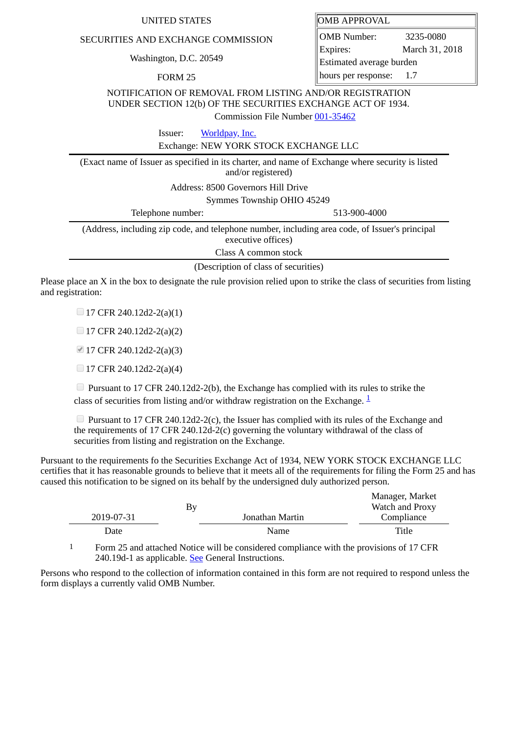## SECURITIES AND EXCHANGE COMMISSION

Washington, D.C. 20549

FORM 25

| UNITED STATES | <b>OMB APPROVAL</b> |
|---------------|---------------------|
|---------------|---------------------|

OMB Number: 3235-0080 Expires: March 31, 2018 Estimated average burden hours per response: 1.7

NOTIFICATION OF REMOVAL FROM LISTING AND/OR REGISTRATION UNDER SECTION 12(b) OF THE SECURITIES EXCHANGE ACT OF 1934.

Commission File Number [001-35462](file:///cgi-bin/browse-edgar?action=getcompany&filenum=001-35462)

Issuer: [Worldpay, Inc.](http://www.sec.gov/cgi-bin/browse-edgar?action=getcompany&CIK=0001533932)

Exchange: NEW YORK STOCK EXCHANGE LLC

(Exact name of Issuer as specified in its charter, and name of Exchange where security is listed and/or registered) Address: 8500 Governors Hill Drive

Symmes Township OHIO 45249

| Telephone number: | 513-900-4000                                                                                   |
|-------------------|------------------------------------------------------------------------------------------------|
|                   | (Address, including zip code, and telephone number, including area code, of Issuer's principal |
|                   | executive offices)                                                                             |

Class A common stock

(Description of class of securities)

Please place an X in the box to designate the rule provision relied upon to strike the class of securities from listing and registration:

 $\Box$  17 CFR 240.12d2-2(a)(1)

 $\Box$  17 CFR 240.12d2-2(a)(2)

17 CFR 240.12d2-2(a)(3)

 $\Box$  17 CFR 240.12d2-2(a)(4)

 $\Box$  Pursuant to 17 CFR 240.12d2-2(b), the Exchange has complied with its rules to strike the class of securities from listing and/or withdraw registration on the Exchange.  $\frac{1}{2}$  $\frac{1}{2}$  $\frac{1}{2}$ 

 $\Box$  Pursuant to 17 CFR 240.12d2-2(c), the Issuer has complied with its rules of the Exchange and the requirements of 17 CFR 240.12d-2(c) governing the voluntary withdrawal of the class of securities from listing and registration on the Exchange.

Pursuant to the requirements fo the Securities Exchange Act of 1934, NEW YORK STOCK EXCHANGE LLC certifies that it has reasonable grounds to believe that it meets all of the requirements for filing the Form 25 and has caused this notification to be signed on its behalf by the undersigned duly authorized person.

|            |    |                 | Manager, Market |  |
|------------|----|-----------------|-----------------|--|
|            | By |                 | Watch and Proxy |  |
| 2019-07-31 |    | Jonathan Martin | Compliance      |  |
| Date       |    | Name            | Title           |  |

<span id="page-0-0"></span>1 Form 25 and attached Notice will be considered compliance with the provisions of 17 CFR 240.19d-1 as applicable. See General Instructions.

Persons who respond to the collection of information contained in this form are not required to respond unless the form displays a currently valid OMB Number.